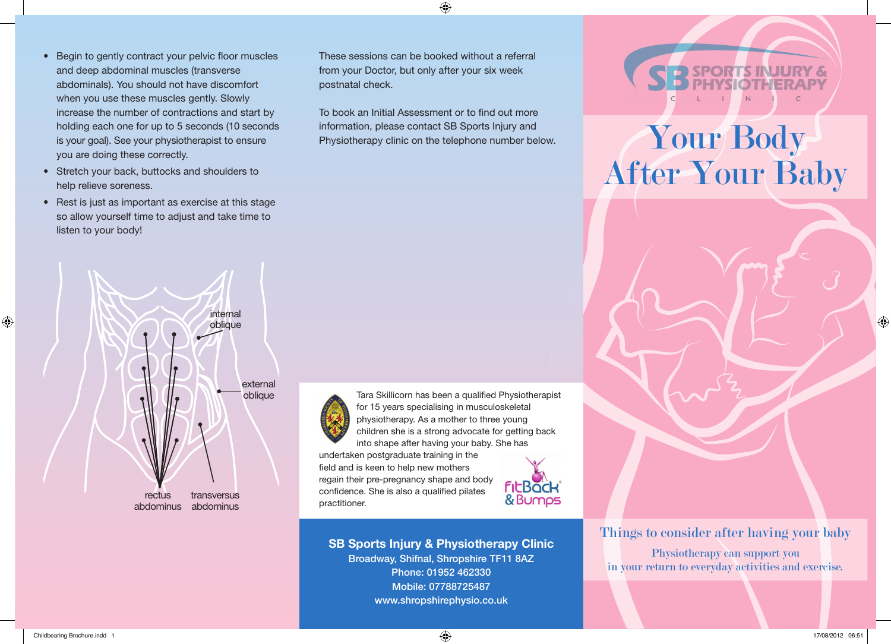- Begin to gently contract your pelvic floor muscles and deep abdominal muscles (transverse abdominals). You should not have discomfort when you use these muscles gently. Slowly increase the number of contractions and start by holding each one for up to 5 seconds (10 seconds is your goal). See your physiotherapist to ensure you are doing these correctly.
- Stretch your back, buttocks and shoulders to help relieve soreness.
- Rest is just as important as exercise at this stage so allow yourself time to adjust and take time to listen to your body!



 $\bigodot$ 

To book an Initial Assessment or to find out more information, please contact SB Sports Injury and Physiotherapy clinic on the telephone number below.





oblique Tara Skillicorn has been a qualified Physiotherapist for 15 years specialising in musculoskeletal physiotherapy. As a mother to three young children she is a strong advocate for getting back into shape after having your baby. She has

> undertaken postgraduate training in the field and is keen to help new mothers regain their pre-pregnancy shape and body confidence. She is also a qualified pilates practitioner.



**SB Sports Injury & Physiotherapy Clinic** Broadway, Shifnal, Shropshire TF11 8AZ Phone: 01952 462330 Mobile: 07788725487 www.shropshirephysio.co.uk



# Your Body After Your Baby

Things to consider after having your baby Physiotherapy can support you in your return to everyday activities and exercise.



◈